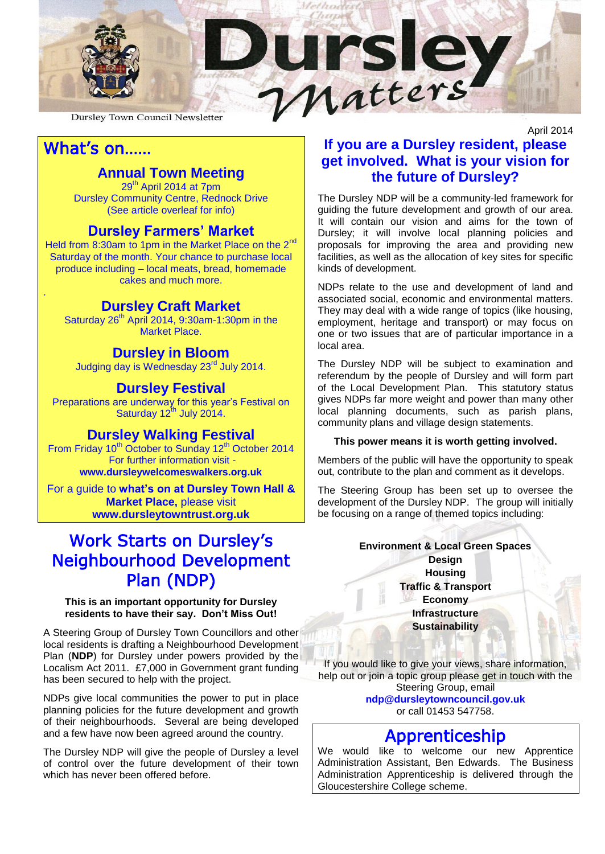

Dursley Town Council Newsletter

# What's on……

.

### **Annual Town Meeting**

29<sup>th</sup> April 2014 at 7pm Dursley Community Centre, Rednock Drive (See article overleaf for info)

#### **Dursley Farmers' Market**

Held from 8:30am to 1pm in the Market Place on the 2<sup>nd</sup> Saturday of the month. Your chance to purchase local produce including – local meats, bread, homemade cakes and much more.

#### **Dursley Craft Market**

Saturday  $26<sup>th</sup>$  April 2014, 9:30am-1:30pm in the Market Place.

#### **Dursley in Bloom**

Judging day is Wednesday 23rd July 2014.

#### **Dursley Festival**

Preparations are underway for this year's Festival on Saturday  $12^{th}$  July 2014.

### **Dursley Walking Festival**

From Friday 10<sup>th</sup> October to Sunday 12<sup>th</sup> October 2014 For further information visit -

**www.dursleywelcomeswalkers.org.uk**

For a guide to **what's on at Dursley Town Hall & Market Place,** please visit **www.dursleytowntrust.org.uk**

# Work Starts on Dursley's Neighbourhood Development Plan (NDP)

#### **This is an important opportunity for Dursley residents to have their say. Don't Miss Out!**

A Steering Group of Dursley Town Councillors and other local residents is drafting a Neighbourhood Development Plan (**NDP**) for Dursley under powers provided by the Localism Act 2011. £7,000 in Government grant funding has been secured to help with the project.

NDPs give local communities the power to put in place planning policies for the future development and growth of their neighbourhoods. Several are being developed and a few have now been agreed around the country.

The Dursley NDP will give the people of Dursley a level of control over the future development of their town which has never been offered before.

### April 2014 **If you are a Dursley resident, please get involved. What is your vision for the future of Dursley?**

The Dursley NDP will be a community-led framework for guiding the future development and growth of our area. It will contain our vision and aims for the town of Dursley; it will involve local planning policies and proposals for improving the area and providing new facilities, as well as the allocation of key sites for specific kinds of development.

NDPs relate to the use and development of land and associated social, economic and environmental matters. They may deal with a wide range of topics (like housing, employment, heritage and transport) or may focus on one or two issues that are of particular importance in a local area.

The Dursley NDP will be subject to examination and referendum by the people of Dursley and will form part of the Local Development Plan. This statutory status gives NDPs far more weight and power than many other local planning documents, such as parish plans, community plans and village design statements.

#### **This power means it is worth getting involved.**

Members of the public will have the opportunity to speak out, contribute to the plan and comment as it develops.

The Steering Group has been set up to oversee the development of the Dursley NDP. The group will initially be focusing on a range of themed topics including:

#### **Environment & Local Green Spaces**

**Design Housing Traffic & Transport Economy Infrastructure Sustainability**

If you would like to give your views, share information, help out or join a topic group please get in touch with the Steering Group, email **[ndp@dursleytowncouncil.gov.uk](mailto:ndp@dursleytowncouncil.gov.uk)** or call 01453 547758.

## Apprenticeship

We would like to welcome our new Apprentice Administration Assistant, Ben Edwards. The Business Administration Apprenticeship is delivered through the Gloucestershire College scheme.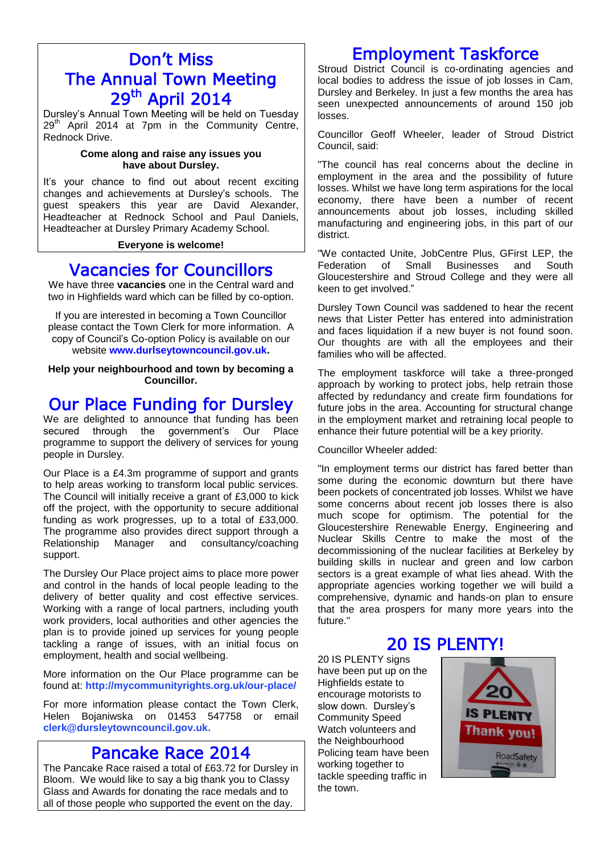# Don't Miss The Annual Town Meeting 29<sup>th</sup> April 2014

Dursley's Annual Town Meeting will be held on Tuesday 29<sup>th</sup> April 2014 at 7pm in the Community Centre, Rednock Drive.

#### **Come along and raise any issues you have about Dursley.**

It's your chance to find out about recent exciting changes and achievements at Dursley's schools. The guest speakers this year are David Alexander, Headteacher at Rednock School and Paul Daniels, Headteacher at Dursley Primary Academy School.

#### **Everyone is welcome!**

## Vacancies for Councillors

We have three **vacancies** one in the Central ward and two in Highfields ward which can be filled by co-option.

If you are interested in becoming a Town Councillor please contact the Town Clerk for more information. A copy of Council's Co-option Policy is available on our website **[www.durlseytowncouncil.gov.uk.](http://www.durlseytowncouncil.gov.uk/)**

**Help your neighbourhood and town by becoming a Councillor.**

# Our Place Funding for Dursley

We are delighted to announce that funding has been secured through the government's Our Place programme to support the delivery of services for young people in Dursley.

Our Place is a £4.3m programme of support and grants to help areas working to transform local public services. The Council will initially receive a grant of £3,000 to kick off the project, with the opportunity to secure additional funding as work progresses, up to a total of £33,000. The programme also provides direct support through a Relationship Manager and consultancy/coaching support.

The Dursley Our Place project aims to place more power and control in the hands of local people leading to the delivery of better quality and cost effective services. Working with a range of local partners, including youth work providers, local authorities and other agencies the plan is to provide joined up services for young people tackling a range of issues, with an initial focus on employment, health and social wellbeing.

More information on the Our Place programme can be found at: **<http://mycommunityrights.org.uk/our-place/>**

For more information please contact the Town Clerk, Helen Bojaniwska on 01453 547758 or email **[clerk@dursleytowncouncil.gov.uk.](mailto:clerk@dursleytowncouncil.gov.uk)**

# Pancake Race 2014

The Pancake Race raised a total of £63.72 for Dursley in Bloom. We would like to say a big thank you to Classy Glass and Awards for donating the race medals and to all of those people who supported the event on the day.

# Employment Taskforce

Stroud District Council is co-ordinating agencies and local bodies to address the issue of job losses in Cam, Dursley and Berkeley. In just a few months the area has seen unexpected announcements of around 150 job losses.

Councillor Geoff Wheeler, leader of Stroud District Council, said:

"The council has real concerns about the decline in employment in the area and the possibility of future losses. Whilst we have long term aspirations for the local economy, there have been a number of recent announcements about job losses, including skilled manufacturing and engineering jobs, in this part of our district.

"We contacted Unite, JobCentre Plus, GFirst LEP, the Federation of Small Businesses and South Gloucestershire and Stroud College and they were all keen to get involved."

Dursley Town Council was saddened to hear the recent news that Lister Petter has entered into administration and faces liquidation if a new buyer is not found soon. Our thoughts are with all the employees and their families who will be affected.

The employment taskforce will take a three-pronged approach by working to protect jobs, help retrain those affected by redundancy and create firm foundations for future jobs in the area. Accounting for structural change in the employment market and retraining local people to enhance their future potential will be a key priority.

#### Councillor Wheeler added:

"In employment terms our district has fared better than some during the economic downturn but there have been pockets of concentrated job losses. Whilst we have some concerns about recent job losses there is also much scope for optimism. The potential for the Gloucestershire Renewable Energy, Engineering and Nuclear Skills Centre to make the most of the decommissioning of the nuclear facilities at Berkeley by building skills in nuclear and green and low carbon sectors is a great example of what lies ahead. With the appropriate agencies working together we will build a comprehensive, dynamic and hands-on plan to ensure that the area prospers for many more years into the future."

## 20 IS PLENTY!

20 IS PLENTY signs have been put up on the Highfields estate to encourage motorists to slow down. Dursley's Community Speed Watch volunteers and the Neighbourhood Policing team have been working together to tackle speeding traffic in the town.

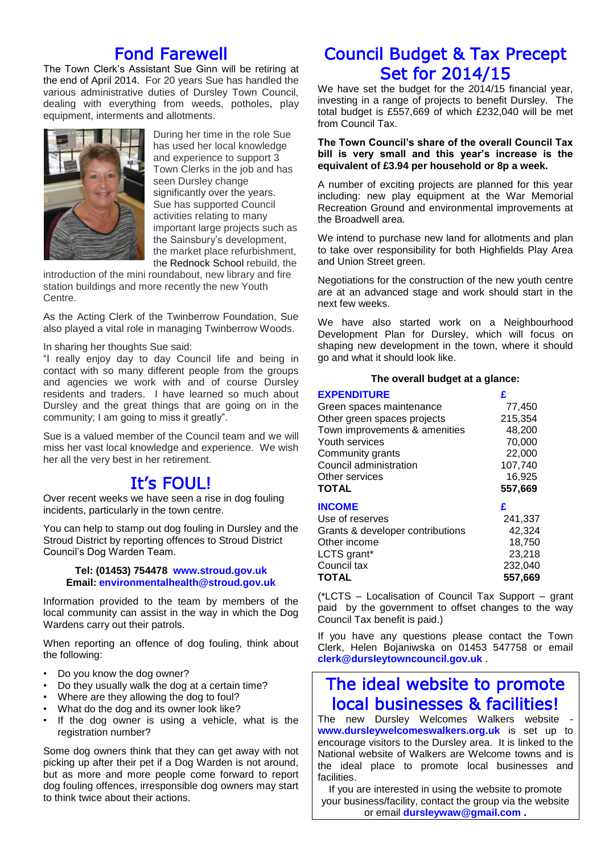# Fond Farewell

The Town Clerk's Assistant Sue Ginn will be retiring at the end of April 2014. For 20 years Sue has handled the various administrative duties of Dursley Town Council, dealing with everything from weeds, potholes, play equipment, interments and allotments.



During her time in the role Sue has used her local knowledge and experience to support 3 Town Clerks in the job and has seen Dursley change significantly over the years. Sue has supported Council activities relating to many important large projects such as the Sainsbury's development, the market place refurbishment, the [Rednock School](http://www.gazetteseries.co.uk/search/?search=rednock+school) rebuild, the

introduction of the mini roundabout, new library and fire station buildings and more recently the new Youth Centre.

As the Acting Clerk of the Twinberrow Foundation, Sue also played a vital role in managing Twinberrow Woods.

In sharing her thoughts Sue said:

"I really enjoy day to day Council life and being in contact with so many different people from the groups and agencies we work with and of course Dursley residents and traders. I have learned so much about Dursley and the great things that are going on in the community; I am going to miss it greatly".

Sue is a valued member of the Council team and we will miss her vast local knowledge and experience. We wish her all the very best in her retirement.

## It's FOUL!

Over recent weeks we have seen a rise in dog fouling incidents, particularly in the town centre.

You can help to stamp out dog fouling in Dursley and the Stroud District by reporting offences to Stroud District Council's Dog Warden Team.

#### **Tel: (01453) 754478 [www.stroud.gov.uk](http://www.stroud.gov.uk/) Email: [environmentalhealth@stroud.gov.uk](mailto:environmentalhealth@stroud.gov.uk)**

Information provided to the team by members of the local community can assist in the way in which the Dog Wardens carry out their patrols.

When reporting an offence of dog fouling, think about the following:

- Do you know the dog owner?
- Do they usually walk the dog at a certain time?
- Where are they allowing the dog to foul?
- What do the dog and its owner look like?
- If the dog owner is using a vehicle, what is the registration number?

Some dog owners think that they can get away with not picking up after their pet if a Dog Warden is not around, but as more and more people come forward to report dog fouling offences, irresponsible dog owners may start to think twice about their actions.

# Council Budget & Tax Precept Set for 2014/15

We have set the budget for the 2014/15 financial year, investing in a range of projects to benefit Dursley. The total budget is £557,669 of which £232,040 will be met from Council Tax.

#### **The Town Council's share of the overall Council Tax bill is very small and this year's increase is the equivalent of £3.94 per household or 8p a week.**

A number of exciting projects are planned for this year including: new play equipment at the War Memorial Recreation Ground and environmental improvements at the Broadwell area.

We intend to purchase new land for allotments and plan to take over responsibility for both Highfields Play Area and Union Street green.

Negotiations for the construction of the new youth centre are at an advanced stage and work should start in the next few weeks.

We have also started work on a Neighbourhood Development Plan for Dursley, which will focus on shaping new development in the town, where it should go and what it should look like.

#### **The overall budget at a glance:**

#### **EXPENDITURE £**

| CAFENDIIURE                      |         |
|----------------------------------|---------|
| Green spaces maintenance         | 77,450  |
| Other green spaces projects      | 215.354 |
| Town improvements & amenities    | 48,200  |
| Youth services                   | 70,000  |
| Community grants                 | 22,000  |
| Council administration           | 107,740 |
| Other services                   | 16,925  |
| <b>TOTAL</b>                     | 557,669 |
| <b>INCOME</b>                    | £       |
| Use of reserves                  | 241,337 |
| Grants & developer contributions | 42,324  |
| Other income                     | 18.750  |
| LCTS grant*                      | 23,218  |
| Council tax                      | 232,040 |
| <b>TOTAL</b>                     | 557.669 |
|                                  |         |

(\*LCTS – Localisation of Council Tax Support – grant paid by the government to offset changes to the way Council Tax benefit is paid.)

If you have any questions please contact the Town Clerk, Helen Bojaniwska on 01453 547758 or email **[clerk@dursleytowncouncil.gov.uk](mailto:clerk@dursleytowncouncil.gov.uk)** .

# The ideal website to promote local businesses & facilities!

The new Dursley Welcomes Walkers website **[www.dursleywelcomeswalkers.org.uk](http://www.dursleywelcomeswalkers.org.uk/)** is set up to encourage visitors to the Dursley area. It is linked to the National website of Walkers are Welcome towns and is the ideal place to promote local businesses and facilities.

If you are interested in using the website to promote your business/facility, contact the group via the website or email **[dursleywaw@gmail.com](mailto:dursleywaw@gmail.com) .**